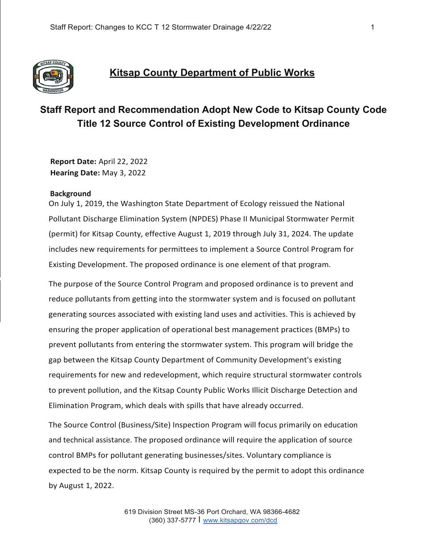

## **Kitsap County Department of Public Works**

# **Staff Report and Recommendation Adopt New Code to Kitsap County Code Title 12 Source Control of Existing Development Ordinance**

**Report Date:** April 22, 2022 **Hearing Date:** May 3, 2022

#### **Background**

On July 1, 2019, the Washington State Department of Ecology reissued the National Pollutant Discharge Elimination System (NPDES) Phase II Municipal Stormwater Permit (permit) for Kitsap County, effective August 1, 2019 through July 31, 2024. The update includes new requirements for permittees to implement a Source Control Program for Existing Development. The proposed ordinance is one element of that program.

The purpose of the Source Control Program and proposed ordinance is to prevent and reduce pollutants from getting into the stormwater system and is focused on pollutant generating sources associated with existing land uses and activities. This is achieved by ensuring the proper application of operational best management practices (BMPs) to prevent pollutants from entering the stormwater system. This program will bridge the gap between the Kitsap County Department of Community Development's existing requirements for new and redevelopment, which require structural stormwater controls to prevent pollution, and the Kitsap County Public Works Illicit Discharge Detection and Elimination Program, which deals with spills that have already occurred.

The Source Control (Business/Site) Inspection Program will focus primarily on education and technical assistance. The proposed ordinance will require the application of source control BMPs for pollutant generating businesses/sites. Voluntary compliance is expected to be the norm. Kitsap County is required by the permit to adopt this ordinance by August 1, 2022.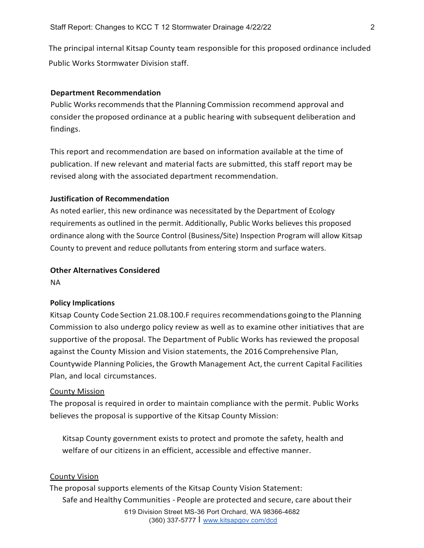The principal internal Kitsap County team responsible for this proposed ordinance included Public Works Stormwater Division staff.

#### **Department Recommendation**

Public Works recommends that the Planning Commission recommend approval and consider the proposed ordinance at a public hearing with subsequent deliberation and findings.

This report and recommendation are based on information available at the time of publication. If new relevant and material facts are submitted, this staff report may be revised along with the associated department recommendation.

## **Justification of Recommendation**

As noted earlier, this new ordinance was necessitated by the Department of Ecology requirements as outlined in the permit. Additionally, Public Works believes this proposed ordinance along with the Source Control (Business/Site) Inspection Program will allow Kitsap County to prevent and reduce pollutants from entering storm and surface waters.

## **Other Alternatives Considered**

NA

#### **Policy Implications**

Kitsap County Code Section 21.08.100.F requires recommendations goingto the Planning Commission to also undergo policy review as well as to examine other initiatives that are supportive of the proposal. The Department of Public Works has reviewed the proposal against the County Mission and Vision statements, the 2016 Comprehensive Plan, Countywide Planning Policies, the Growth Management Act, the current Capital Facilities Plan, and local circumstances.

#### County Mission

The proposal is required in order to maintain compliance with the permit. Public Works believes the proposal is supportive of the Kitsap County Mission:

Kitsap County government exists to protect and promote the safety, health and welfare of our citizens in an efficient, accessible and effective manner.

#### County Vision

The proposal supports elements of the Kitsap County Vision Statement: Safe and Healthy Communities - People are protected and secure, care about their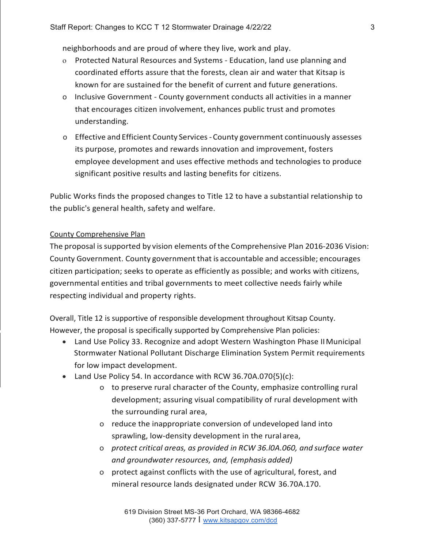neighborhoods and are proud of where they live, work and play.

- o Protected Natural Resources and Systems Education, land use planning and coordinated efforts assure that the forests, clean air and water that Kitsap is known for are sustained for the benefit of current and future generations.
- o Inclusive Government County government conducts all activities in a manner that encourages citizen involvement, enhances public trust and promotes understanding.
- o Effective and Efficient County Services County government continuously assesses its purpose, promotes and rewards innovation and improvement, fosters employee development and uses effective methods and technologies to produce significant positive results and lasting benefits for citizens.

Public Works finds the proposed changes to Title 12 to have a substantial relationship to the public's general health, safety and welfare.

### County Comprehensive Plan

The proposal issupported by vision elements ofthe Comprehensive Plan 2016-2036 Vision: County Government. County government that is accountable and accessible; encourages citizen participation; seeks to operate as efficiently as possible; and works with citizens, governmental entities and tribal governments to meet collective needs fairly while respecting individual and property rights.

Overall, Title 12 is supportive of responsible development throughout Kitsap County. However, the proposal is specifically supported by Comprehensive Plan policies:

- Land Use Policy 33. Recognize and adopt Western Washington Phase IIMunicipal Stormwater National Pollutant Discharge Elimination System Permit requirements for low impact development.
- Land Use Policy 54. In accordance with RCW 36.70A.070{5)(c):
	- o to preserve rural character of the County, emphasize controlling rural development; assuring visual compatibility of rural development with the surrounding rural area,
	- o reduce the inappropriate conversion of undeveloped land into sprawling, low-density development in the rural area,
	- o *protect critical areas, as provided in RCW 36.l0A.060, and surface water and groundwater resources, and, (emphasis added)*
	- o protect against conflicts with the use of agricultural, forest, and mineral resource lands designated under RCW 36.70A.170.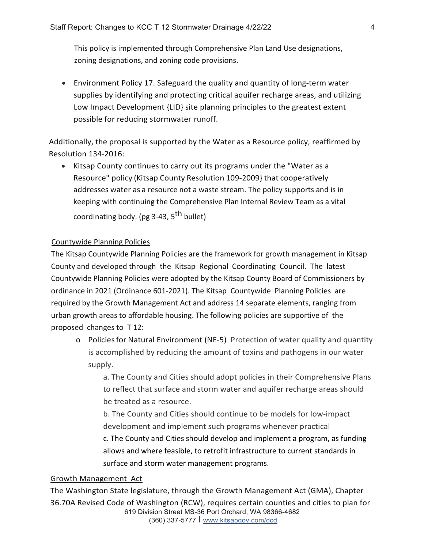This policy is implemented through Comprehensive Plan Land Use designations, zoning designations, and zoning code provisions.

• Environment Policy 17. Safeguard the quality and quantity of long-term water supplies by identifying and protecting critical aquifer recharge areas, and utilizing Low Impact Development {LID} site planning principles to the greatest extent possible for reducing stormwater runoff.

Additionally, the proposal is supported by the Water as a Resource policy, reaffirmed by Resolution 134-2016:

• Kitsap County continues to carry out its programs under the "Water as a Resource" policy (Kitsap County Resolution 109-2009} that cooperatively addresses water as a resource not a waste stream. The policy supports and is in keeping with continuing the Comprehensive Plan Internal Review Team as a vital coordinating body. (pg 3-43, 5<sup>th</sup> bullet)

## Countywide Planning Policies

The Kitsap Countywide Planning Policies are the framework for growth management in Kitsap County and developed through the Kitsap Regional Coordinating Council. The latest Countywide Planning Policies were adopted by the Kitsap County Board of Commissioners by ordinance in 2021 (Ordinance 601-2021). The Kitsap Countywide Planning Policies are required by the Growth Management Act and address 14 separate elements, ranging from urban growth areas to affordable housing. The following policies are supportive of the proposed changes to T 12:

o Policiesfor Natural Environment (NE-5) Protection of water quality and quantity is accomplished by reducing the amount of toxins and pathogens in our water supply.

a. The County and Cities should adopt policies in their Comprehensive Plans to reflect that surface and storm water and aquifer recharge areas should be treated as a resource.

b. The County and Cities should continue to be models for low-impact development and implement such programs whenever practical c. The County and Cities should develop and implement a program, as funding allows and where feasible, to retrofit infrastructure to current standards in surface and storm water management programs.

#### Growth Management Act

619 Division Street MS-36 Port Orchard, WA 98366-4682 (360) 337-5777 I [www.kitsapgov.com/dcd](http://www.kitsapgov.com/dcd) The Washington State legislature, through the Growth Management Act (GMA), Chapter 36.70A Revised Code of Washington (RCW), requires certain counties and cities to plan for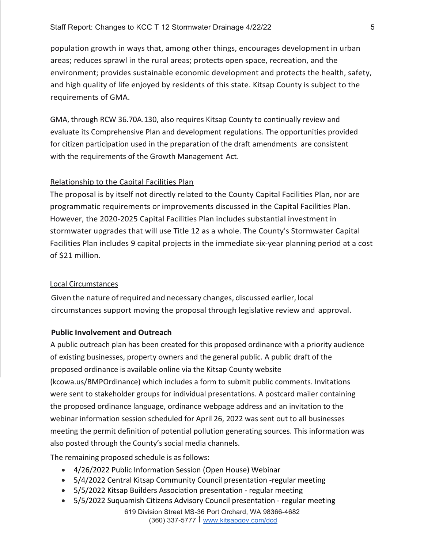population growth in ways that, among other things, encourages development in urban areas; reduces sprawl in the rural areas; protects open space, recreation, and the environment; provides sustainable economic development and protects the health, safety, and high quality of life enjoyed by residents of this state. Kitsap County is subject to the requirements of GMA.

GMA, through RCW 36.70A.130, also requires Kitsap County to continually review and evaluate its Comprehensive Plan and development regulations. The opportunities provided for citizen participation used in the preparation of the draft amendments are consistent with the requirements of the Growth Management Act.

## Relationship to the Capital Facilities Plan

The proposal is by itself not directly related to the County Capital Facilities Plan, nor are programmatic requirements or improvements discussed in the Capital Facilities Plan. However, the 2020-2025 Capital Facilities Plan includes substantial investment in stormwater upgrades that will use Title 12 as a whole. The County's Stormwater Capital Facilities Plan includes 9 capital projects in the immediate six-year planning period at a cost of \$21 million.

#### Local Circumstances

Given the nature ofrequired and necessary changes, discussed earlier, local circumstances support moving the proposal through legislative review and approval.

## **Public Involvement and Outreach**

A public outreach plan has been created for this proposed ordinance with a priority audience of existing businesses, property owners and the general public. A public draft of the proposed ordinance is available online via the Kitsap County website (kcowa.us/BMPOrdinance) which includes a form to submit public comments. Invitations were sent to stakeholder groups for individual presentations. A postcard mailer containing the proposed ordinance language, ordinance webpage address and an invitation to the webinar information session scheduled for April 26, 2022 was sent out to all businesses meeting the permit definition of potential pollution generating sources. This information was also posted through the County's social media channels.

The remaining proposed schedule is as follows:

- 4/26/2022 Public Information Session (Open House) Webinar
- 5/4/2022 Central Kitsap Community Council presentation -regular meeting
- 5/5/2022 Kitsap Builders Association presentation regular meeting
- 5/5/2022 Suquamish Citizens Advisory Council presentation regular meeting
	- 619 Division Street MS-36 Port Orchard, WA 98366-4682 (360) 337-5777 I [www.kitsapgov.com/dcd](http://www.kitsapgov.com/dcd)